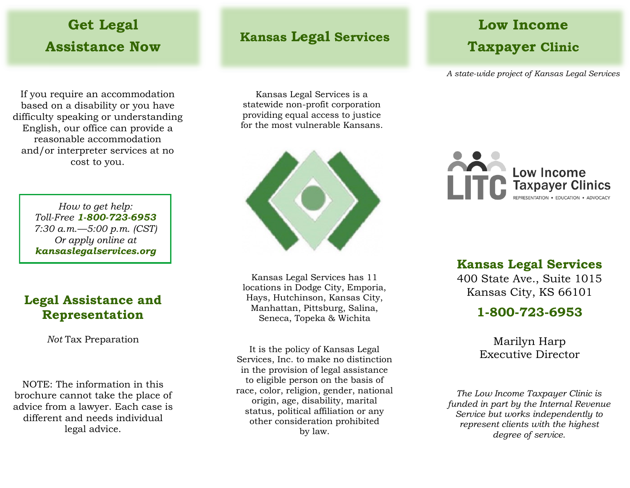## **Get Legal Assistance Now**

If you require an accommodation based on a disability or you have difficulty speaking or understanding English, our office can provide a reasonable accommodation and/or interpreter services at no cost to you.

> *How to get help: Toll-Free 1-800-723-6953 7:30 a.m.—5:00 p.m. (CST) Or apply online at kansaslegalservices.org*

### **Legal Assistance and Representation**

*Not* Tax Preparation

NOTE: The information in this brochure cannot take the place of advice from a lawyer. Each case is different and needs individual legal advice.

### **Kansas Legal Services**

Kansas Legal Services is a statewide non-profit corporation providing equal access to justice for the most vulnerable Kansans.



Kansas Legal Services has 11 locations in Dodge City, Emporia, Hays, Hutchinson, Kansas City, Manhattan, Pittsburg, Salina, Seneca, Topeka & Wichita

It is the policy of Kansas Legal Services, Inc. to make no distinction in the provision of legal assistance to eligible person on the basis of race, color, religion, gender, national origin, age, disability, marital status, political affiliation or any other consideration prohibited by law.

## **Low Income Taxpayer Clinic**

*A state-wide project of Kansas Legal Services*



#### **Kansas Legal Services**

400 State Ave., Suite 1015 Kansas City, KS 66101

### **1-800-723-6953**

Marilyn Harp Executive Director

*The Low Income Taxpayer Clinic is funded in part by the Internal Revenue Service but works independently to represent clients with the highest degree of service.*